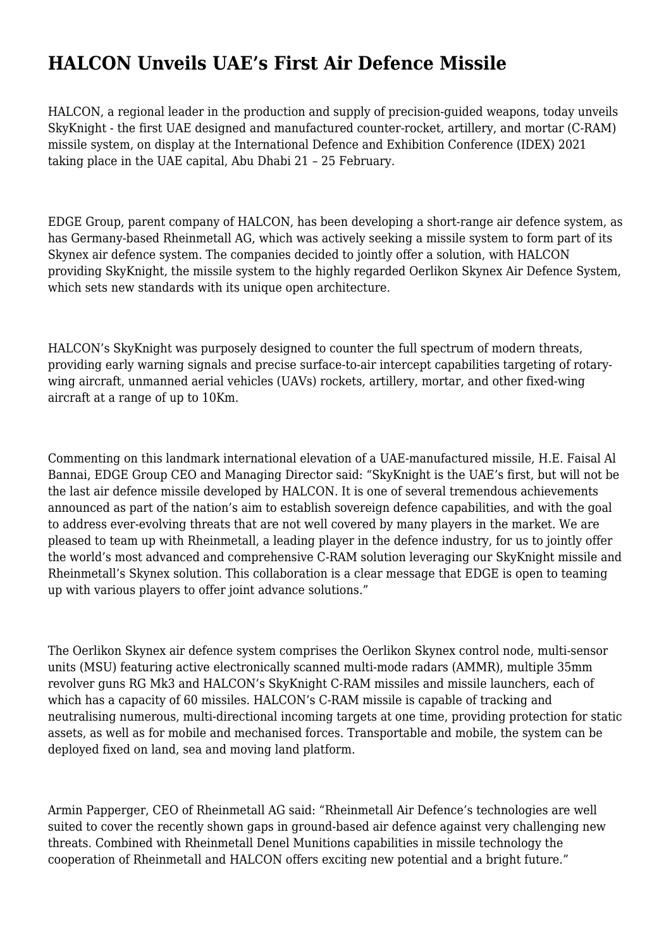## **HALCON Unveils UAE's First Air Defence Missile**

HALCON, a regional leader in the production and supply of precision-guided weapons, today unveils SkyKnight - the first UAE designed and manufactured counter-rocket, artillery, and mortar (C-RAM) missile system, on display at the International Defence and Exhibition Conference (IDEX) 2021 taking place in the UAE capital, Abu Dhabi 21 – 25 February.

EDGE Group, parent company of HALCON, has been developing a short-range air defence system, as has Germany-based Rheinmetall AG, which was actively seeking a missile system to form part of its Skynex air defence system. The companies decided to jointly offer a solution, with HALCON providing SkyKnight, the missile system to the highly regarded Oerlikon Skynex Air Defence System, which sets new standards with its unique open architecture.

HALCON's SkyKnight was purposely designed to counter the full spectrum of modern threats, providing early warning signals and precise surface-to-air intercept capabilities targeting of rotarywing aircraft, unmanned aerial vehicles (UAVs) rockets, artillery, mortar, and other fixed-wing aircraft at a range of up to 10Km.

Commenting on this landmark international elevation of a UAE-manufactured missile, H.E. Faisal Al Bannai, EDGE Group CEO and Managing Director said: "SkyKnight is the UAE's first, but will not be the last air defence missile developed by HALCON. It is one of several tremendous achievements announced as part of the nation's aim to establish sovereign defence capabilities, and with the goal to address ever-evolving threats that are not well covered by many players in the market. We are pleased to team up with Rheinmetall, a leading player in the defence industry, for us to jointly offer the world's most advanced and comprehensive C-RAM solution leveraging our SkyKnight missile and Rheinmetall's Skynex solution. This collaboration is a clear message that EDGE is open to teaming up with various players to offer joint advance solutions."

The Oerlikon Skynex air defence system comprises the Oerlikon Skynex control node, multi-sensor units (MSU) featuring active electronically scanned multi-mode radars (AMMR), multiple 35mm revolver guns RG Mk3 and HALCON's SkyKnight C-RAM missiles and missile launchers, each of which has a capacity of 60 missiles. HALCON's C-RAM missile is capable of tracking and neutralising numerous, multi-directional incoming targets at one time, providing protection for static assets, as well as for mobile and mechanised forces. Transportable and mobile, the system can be deployed fixed on land, sea and moving land platform.

Armin Papperger, CEO of Rheinmetall AG said: "Rheinmetall Air Defence's technologies are well suited to cover the recently shown gaps in ground-based air defence against very challenging new threats. Combined with Rheinmetall Denel Munitions capabilities in missile technology the cooperation of Rheinmetall and HALCON offers exciting new potential and a bright future."